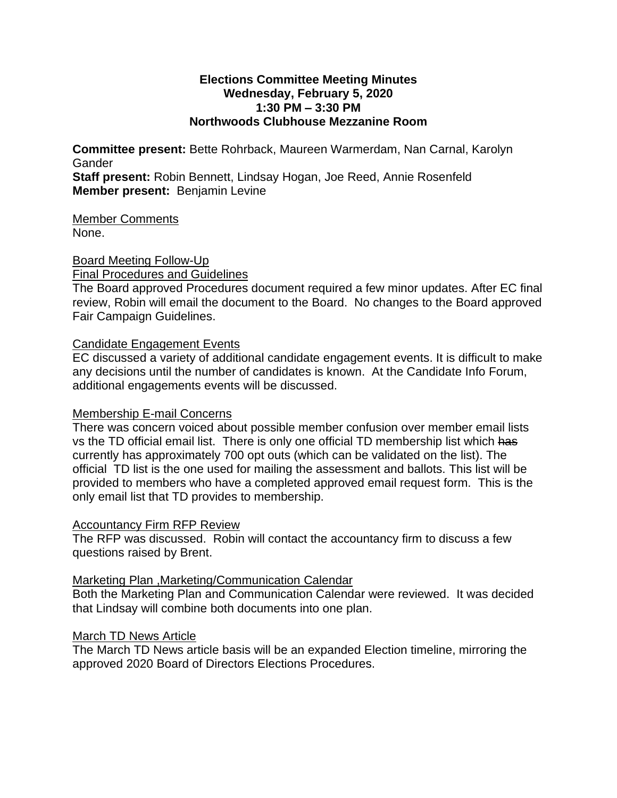#### **Elections Committee Meeting Minutes Wednesday, February 5, 2020 1:30 PM – 3:30 PM Northwoods Clubhouse Mezzanine Room**

**Committee present:** Bette Rohrback, Maureen Warmerdam, Nan Carnal, Karolyn Gander

**Staff present:** Robin Bennett, Lindsay Hogan, Joe Reed, Annie Rosenfeld **Member present:** Benjamin Levine

Member Comments None.

Board Meeting Follow-Up Final Procedures and Guidelines

The Board approved Procedures document required a few minor updates. After EC final review, Robin will email the document to the Board. No changes to the Board approved Fair Campaign Guidelines.

# Candidate Engagement Events

EC discussed a variety of additional candidate engagement events. It is difficult to make any decisions until the number of candidates is known. At the Candidate Info Forum, additional engagements events will be discussed.

# Membership E-mail Concerns

There was concern voiced about possible member confusion over member email lists vs the TD official email list. There is only one official TD membership list which has currently has approximately 700 opt outs (which can be validated on the list). The official TD list is the one used for mailing the assessment and ballots. This list will be provided to members who have a completed approved email request form. This is the only email list that TD provides to membership.

### Accountancy Firm RFP Review

The RFP was discussed. Robin will contact the accountancy firm to discuss a few questions raised by Brent.

### Marketing Plan ,Marketing/Communication Calendar

Both the Marketing Plan and Communication Calendar were reviewed. It was decided that Lindsay will combine both documents into one plan.

### March TD News Article

The March TD News article basis will be an expanded Election timeline, mirroring the approved 2020 Board of Directors Elections Procedures.